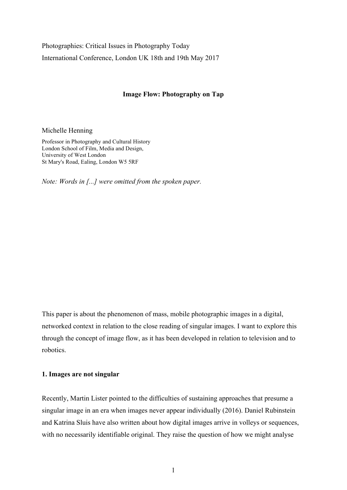Photographies: Critical Issues in Photography Today International Conference, London UK 18th and 19th May 2017

### **Image Flow: Photography on Tap**

Michelle Henning

Professor in Photography and Cultural History London School of Film, Media and Design, University of West London St Mary's Road, Ealing, London W5 5RF

*Note: Words in [...] were omitted from the spoken paper.* 

This paper is about the phenomenon of mass, mobile photographic images in a digital, networked context in relation to the close reading of singular images. I want to explore this through the concept of image flow, as it has been developed in relation to television and to robotics.

#### **1. Images are not singular**

Recently, Martin Lister pointed to the difficulties of sustaining approaches that presume a singular image in an era when images never appear individually (2016). Daniel Rubinstein and Katrina Sluis have also written about how digital images arrive in volleys or sequences, with no necessarily identifiable original. They raise the question of how we might analyse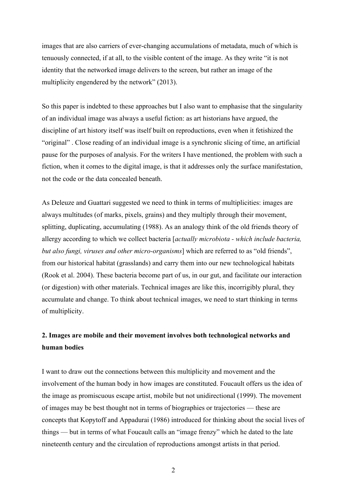images that are also carriers of ever-changing accumulations of metadata, much of which is tenuously connected, if at all, to the visible content of the image. As they write "it is not identity that the networked image delivers to the screen, but rather an image of the multiplicity engendered by the network" (2013).

So this paper is indebted to these approaches but I also want to emphasise that the singularity of an individual image was always a useful fiction: as art historians have argued, the discipline of art history itself was itself built on reproductions, even when it fetishized the "original" . Close reading of an individual image is a synchronic slicing of time, an artificial pause for the purposes of analysis. For the writers I have mentioned, the problem with such a fiction, when it comes to the digital image, is that it addresses only the surface manifestation, not the code or the data concealed beneath.

As Deleuze and Guattari suggested we need to think in terms of multiplicities: images are always multitudes (of marks, pixels, grains) and they multiply through their movement, splitting, duplicating, accumulating (1988). As an analogy think of the old friends theory of allergy according to which we collect bacteria [*actually microbiota - which include bacteria, but also fungi, viruses and other micro-organisms*] which are referred to as "old friends", from our historical habitat (grasslands) and carry them into our new technological habitats (Rook et al. 2004). These bacteria become part of us, in our gut, and facilitate our interaction (or digestion) with other materials. Technical images are like this, incorrigibly plural, they accumulate and change. To think about technical images, we need to start thinking in terms of multiplicity.

# **2. Images are mobile and their movement involves both technological networks and human bodies**

I want to draw out the connections between this multiplicity and movement and the involvement of the human body in how images are constituted. Foucault offers us the idea of the image as promiscuous escape artist, mobile but not unidirectional (1999). The movement of images may be best thought not in terms of biographies or trajectories — these are concepts that Kopytoff and Appadurai (1986) introduced for thinking about the social lives of things — but in terms of what Foucault calls an "image frenzy" which he dated to the late nineteenth century and the circulation of reproductions amongst artists in that period.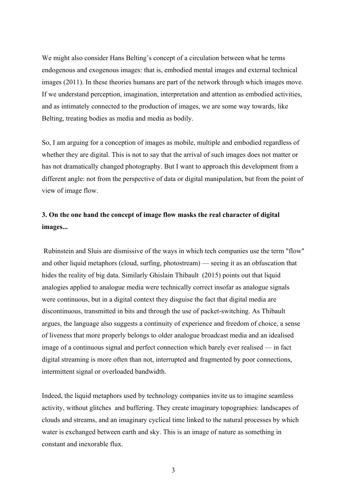We might also consider Hans Belting's concept of a circulation between what he terms endogenous and exogenous images: that is, embodied mental images and external technical images (2011). In these theories humans are part of the network through which images move. If we understand perception, imagination, interpretation and attention as embodied activities, and as intimately connected to the production of images, we are some way towards, like Belting, treating bodies as media and media as bodily.

So, I am arguing for a conception of images as mobile, multiple and embodied regardless of whether they are digital. This is not to say that the arrival of such images does not matter or has not dramatically changed photography. But I want to approach this development from a different angle: not from the perspective of data or digital manipulation, but from the point of view of image flow.

## **3. On the one hand the concept of image flow masks the real character of digital images...**

Rubinstein and Sluis are dismissive of the ways in which tech companies use the term "flow" and other liquid metaphors (cloud, surfing, photostream) — seeing it as an obfuscation that hides the reality of big data. Similarly Ghislain Thibault (2015) points out that liquid analogies applied to analogue media were technically correct insofar as analogue signals were continuous, but in a digital context they disguise the fact that digital media are discontinuous, transmitted in bits and through the use of packet-switching. As Thibault argues, the language also suggests a continuity of experience and freedom of choice, a sense of liveness that more properly belongs to older analogue broadcast media and an idealised image of a continuous signal and perfect connection which barely ever realised — in fact digital streaming is more often than not, interrupted and fragmented by poor connections, intermittent signal or overloaded bandwidth.

Indeed, the liquid metaphors used by technology companies invite us to imagine seamless activity, without glitches and buffering. They create imaginary topographies: landscapes of clouds and streams, and an imaginary cyclical time linked to the natural processes by which water is exchanged between earth and sky. This is an image of nature as something in constant and inexorable flux.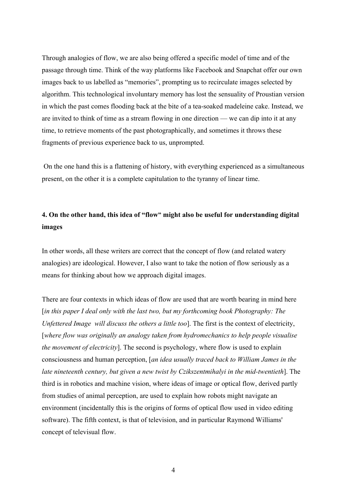Through analogies of flow, we are also being offered a specific model of time and of the passage through time. Think of the way platforms like Facebook and Snapchat offer our own images back to us labelled as "memories", prompting us to recirculate images selected by algorithm. This technological involuntary memory has lost the sensuality of Proustian version in which the past comes flooding back at the bite of a tea-soaked madeleine cake. Instead, we are invited to think of time as a stream flowing in one direction — we can dip into it at any time, to retrieve moments of the past photographically, and sometimes it throws these fragments of previous experience back to us, unprompted.

On the one hand this is a flattening of history, with everything experienced as a simultaneous present, on the other it is a complete capitulation to the tyranny of linear time.

# **4. On the other hand, this idea of "flow" might also be useful for understanding digital images**

In other words, all these writers are correct that the concept of flow (and related watery analogies) are ideological. However, I also want to take the notion of flow seriously as a means for thinking about how we approach digital images.

There are four contexts in which ideas of flow are used that are worth bearing in mind here [*in this paper I deal only with the last two, but my forthcoming book Photography: The Unfettered Image will discuss the others a little too*]. The first is the context of electricity, [*where flow was originally an analogy taken from hydromechanics to help people visualise the movement of electricity*]. The second is psychology, where flow is used to explain consciousness and human perception, [*an idea usually traced back to William James in the late nineteenth century, but given a new twist by Czikszentmihalyi in the mid-twentieth*]. The third is in robotics and machine vision, where ideas of image or optical flow, derived partly from studies of animal perception, are used to explain how robots might navigate an environment (incidentally this is the origins of forms of optical flow used in video editing software). The fifth context, is that of television, and in particular Raymond Williams' concept of televisual flow.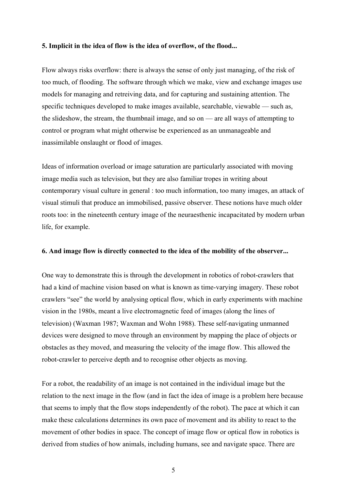### **5. Implicit in the idea of flow is the idea of overflow, of the flood...**

Flow always risks overflow: there is always the sense of only just managing, of the risk of too much, of flooding. The software through which we make, view and exchange images use models for managing and retreiving data, and for capturing and sustaining attention. The specific techniques developed to make images available, searchable, viewable — such as, the slideshow, the stream, the thumbnail image, and so on — are all ways of attempting to control or program what might otherwise be experienced as an unmanageable and inassimilable onslaught or flood of images.

Ideas of information overload or image saturation are particularly associated with moving image media such as television, but they are also familiar tropes in writing about contemporary visual culture in general : too much information, too many images, an attack of visual stimuli that produce an immobilised, passive observer. These notions have much older roots too: in the nineteenth century image of the neuraesthenic incapacitated by modern urban life, for example.

#### **6. And image flow is directly connected to the idea of the mobility of the observer...**

One way to demonstrate this is through the development in robotics of robot-crawlers that had a kind of machine vision based on what is known as time-varying imagery. These robot crawlers "see" the world by analysing optical flow, which in early experiments with machine vision in the 1980s, meant a live electromagnetic feed of images (along the lines of television) (Waxman 1987; Waxman and Wohn 1988). These self-navigating unmanned devices were designed to move through an environment by mapping the place of objects or obstacles as they moved, and measuring the velocity of the image flow. This allowed the robot-crawler to perceive depth and to recognise other objects as moving.

For a robot, the readability of an image is not contained in the individual image but the relation to the next image in the flow (and in fact the idea of image is a problem here because that seems to imply that the flow stops independently of the robot). The pace at which it can make these calculations determines its own pace of movement and its ability to react to the movement of other bodies in space. The concept of image flow or optical flow in robotics is derived from studies of how animals, including humans, see and navigate space. There are

5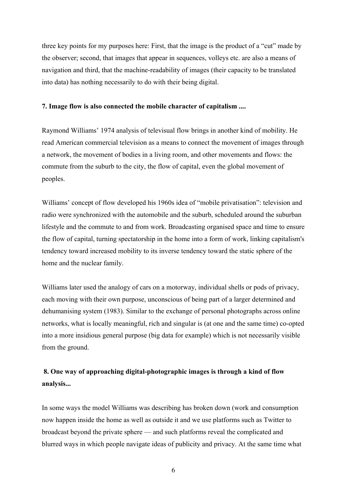three key points for my purposes here: First, that the image is the product of a "cut" made by the observer; second, that images that appear in sequences, volleys etc. are also a means of navigation and third, that the machine-readability of images (their capacity to be translated into data) has nothing necessarily to do with their being digital.

### **7. Image flow is also connected the mobile character of capitalism ....**

Raymond Williams' 1974 analysis of televisual flow brings in another kind of mobility. He read American commercial television as a means to connect the movement of images through a network, the movement of bodies in a living room, and other movements and flows: the commute from the suburb to the city, the flow of capital, even the global movement of peoples.

Williams' concept of flow developed his 1960s idea of "mobile privatisation": television and radio were synchronized with the automobile and the suburb, scheduled around the suburban lifestyle and the commute to and from work. Broadcasting organised space and time to ensure the flow of capital, turning spectatorship in the home into a form of work, linking capitalism's tendency toward increased mobility to its inverse tendency toward the static sphere of the home and the nuclear family.

Williams later used the analogy of cars on a motorway, individual shells or pods of privacy, each moving with their own purpose, unconscious of being part of a larger determined and dehumanising system (1983). Similar to the exchange of personal photographs across online networks, what is locally meaningful, rich and singular is (at one and the same time) co-opted into a more insidious general purpose (big data for example) which is not necessarily visible from the ground.

# **8. One way of approaching digital-photographic images is through a kind of flow analysis...**

In some ways the model Williams was describing has broken down (work and consumption now happen inside the home as well as outside it and we use platforms such as Twitter to broadcast beyond the private sphere — and such platforms reveal the complicated and blurred ways in which people navigate ideas of publicity and privacy. At the same time what

6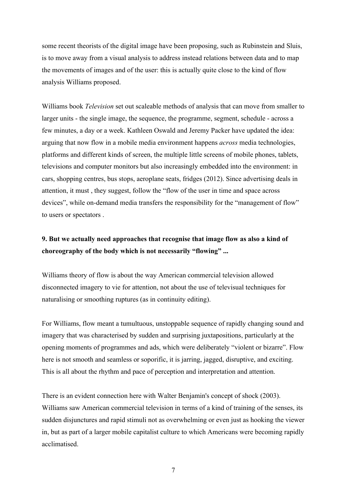some recent theorists of the digital image have been proposing, such as Rubinstein and Sluis, is to move away from a visual analysis to address instead relations between data and to map the movements of images and of the user: this is actually quite close to the kind of flow analysis Williams proposed.

Williams book *Television* set out scaleable methods of analysis that can move from smaller to larger units - the single image, the sequence, the programme, segment, schedule - across a few minutes, a day or a week. Kathleen Oswald and Jeremy Packer have updated the idea: arguing that now flow in a mobile media environment happens *across* media technologies, platforms and different kinds of screen, the multiple little screens of mobile phones, tablets, televisions and computer monitors but also increasingly embedded into the environment: in cars, shopping centres, bus stops, aeroplane seats, fridges (2012). Since advertising deals in attention, it must , they suggest, follow the "flow of the user in time and space across devices", while on-demand media transfers the responsibility for the "management of flow" to users or spectators .

## **9. But we actually need approaches that recognise that image flow as also a kind of choreography of the body which is not necessarily "flowing" ...**

Williams theory of flow is about the way American commercial television allowed disconnected imagery to vie for attention, not about the use of televisual techniques for naturalising or smoothing ruptures (as in continuity editing).

For Williams, flow meant a tumultuous, unstoppable sequence of rapidly changing sound and imagery that was characterised by sudden and surprising juxtapositions, particularly at the opening moments of programmes and ads, which were deliberately "violent or bizarre". Flow here is not smooth and seamless or soporific, it is jarring, jagged, disruptive, and exciting. This is all about the rhythm and pace of perception and interpretation and attention.

There is an evident connection here with Walter Benjamin's concept of shock (2003). Williams saw American commercial television in terms of a kind of training of the senses, its sudden disjunctures and rapid stimuli not as overwhelming or even just as hooking the viewer in, but as part of a larger mobile capitalist culture to which Americans were becoming rapidly acclimatised.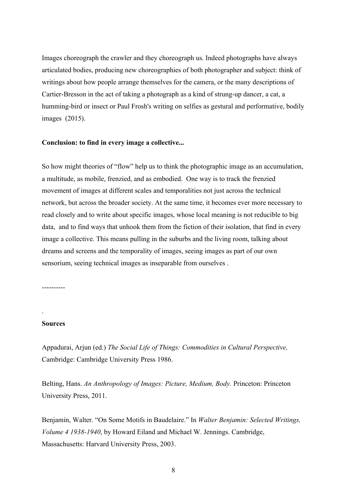Images choreograph the crawler and they choreograph us. Indeed photographs have always articulated bodies, producing new choreographies of both photographer and subject: think of writings about how people arrange themselves for the camera, or the many descriptions of Cartier-Bresson in the act of taking a photograph as a kind of strung-up dancer, a cat, a humming-bird or insect or Paul Frosh's writing on selfies as gestural and performative, bodily images (2015).

### **Conclusion: to find in every image a collective...**

So how might theories of "flow" help us to think the photographic image as an accumulation, a multitude, as mobile, frenzied, and as embodied. One way is to track the frenzied movement of images at different scales and temporalities not just across the technical network, but across the broader society. At the same time, it becomes ever more necessary to read closely and to write about specific images, whose local meaning is not reducible to big data, and to find ways that unhook them from the fiction of their isolation, that find in every image a collective. This means pulling in the suburbs and the living room, talking about dreams and screens and the temporality of images, seeing images as part of our own sensorium, seeing technical images as inseparable from ourselves .

----------

#### **Sources**

.

Appadurai, Arjun (ed.) *The Social Life of Things: Commodities in Cultural Perspective,*  Cambridge: Cambridge University Press 1986.

Belting, Hans. *An Anthropology of Images: Picture, Medium, Body.* Princeton: Princeton University Press, 2011.

Benjamin, Walter. "On Some Motifs in Baudelaire." In *Walter Benjamin: Selected Writings, Volume 4 1938-1940*, by Howard Eiland and Michael W. Jennings. Cambridge, Massachusetts: Harvard University Press, 2003.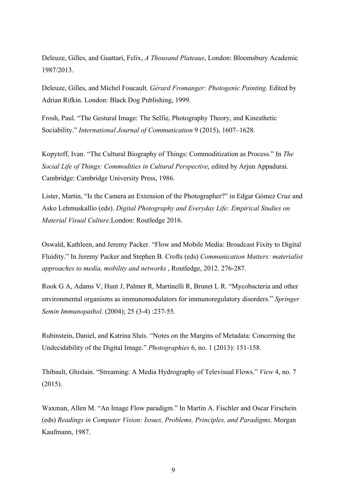Deleuze, Gilles, and Guattari, Felix, *A Thousand Plateaus*, London: Bloomsbury Academic 1987/2013.

Deleuze, Gilles, and Michel Foucault. *Gérard Fromanger: Photogenic Painting*. Edited by Adrian Rifkin. London: Black Dog Publishing, 1999.

Frosh, Paul. "The Gestural Image: The Selfie, Photography Theory, and Kinesthetic Sociability." *International Journal of Communication* 9 (2015), 1607–1628.

Kopytoff, Ivan. "The Cultural Biography of Things: Commoditization as Process." In *The Social Life of Things: Commodities in Cultural Perspective*, edited by Arjun Appadurai. Cambridge: Cambridge University Press, 1986.

Lister, Martin, "Is the Camera an Extension of the Photographer?" in Edgar Gómez Cruz and Asko Lehmuskallio (eds). *Digital Photography and Everyday Life: Empirical Studies on Material Visual Culture*.London: Routledge 2016.

Oswald, Kathleen, and Jeremy Packer. "Flow and Mobile Media: Broadcast Fixity to Digital Fluidity." In Jeremy Packer and Stephen B. Crofts (eds) *Communication Matters: materialist approaches to media, mobility and networks* , Routledge, 2012. 276-287.

Rook G A, Adams V, Hunt J, Palmer R, Martinelli R, Brunet L R. "Mycobacteria and other environmental organisms as immunomodulators for immunoregulatory disorders." *Springer Semin Immunopathol*. (2004); 25 (3-4) :237-55.

Rubinstein, Daniel, and Katrina Sluis. "Notes on the Margins of Metadata: Concerning the Undecidability of the Digital Image." *Photographies* 6, no. 1 (2013): 151-158.

Thibault, Ghislain. "Streaming: A Media Hydrography of Televisual Flows." *View* 4, no. 7 (2015).

Waxman, Allen M. "An Image Flow paradigm." In Martin A. Fischler and Oscar Firschein (eds) *Readings in Computer Vision: Issues, Problems, Principles, and Paradigms,* Morgan Kaufmann, 1987.